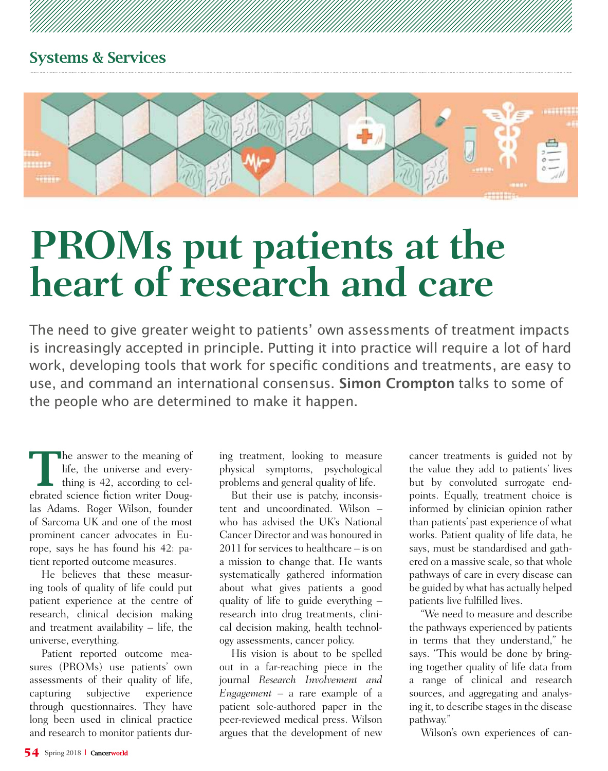

# **PROMs put patients at the heart of research and care**

The need to give greater weight to patients' own assessments of treatment impacts is increasingly accepted in principle. Putting it into practice will require a lot of hard work, developing tools that work for specific conditions and treatments, are easy to use, and command an international consensus. **Simon Crompton** talks to some of the people who are determined to make it happen.

The answer to the meaning of life, the universe and everything is 42, according to celebrated science fiction writer Douglas Adams. Roger Wilson, founder of Sarcoma UK and one of the most prominent cancer advocates in Europe, says he has found his 42: patient reported outcome measures.

He believes that these measuring tools of quality of life could put patient experience at the centre of research, clinical decision making and treatment availability – life, the universe, everything.

Patient reported outcome measures (PROMs) use patients' own assessments of their quality of life, capturing subjective experience through questionnaires. They have long been used in clinical practice and research to monitor patients during treatment, looking to measure physical symptoms, psychological problems and general quality of life.

But their use is patchy, inconsistent and uncoordinated. Wilson – who has advised the UK's National Cancer Director and was honoured in 2011 for services to healthcare – is on a mission to change that. He wants systematically gathered information about what gives patients a good quality of life to guide everything – research into drug treatments, clinical decision making, health technology assessments, cancer policy.

His vision is about to be spelled out in a far-reaching piece in the journal *Research Involvement and Engagement* – a rare example of a patient sole-authored paper in the peer-reviewed medical press. Wilson argues that the development of new

cancer treatments is guided not by the value they add to patients' lives but by convoluted surrogate endpoints. Equally, treatment choice is informed by clinician opinion rather than patients' past experience of what works. Patient quality of life data, he says, must be standardised and gathered on a massive scale, so that whole pathways of care in every disease can be guided by what has actually helped patients live fulfilled lives.

"We need to measure and describe the pathways experienced by patients in terms that they understand," he says. "This would be done by bringing together quality of life data from a range of clinical and research sources, and aggregating and analysing it, to describe stages in the disease pathway."

Wilson's own experiences of can-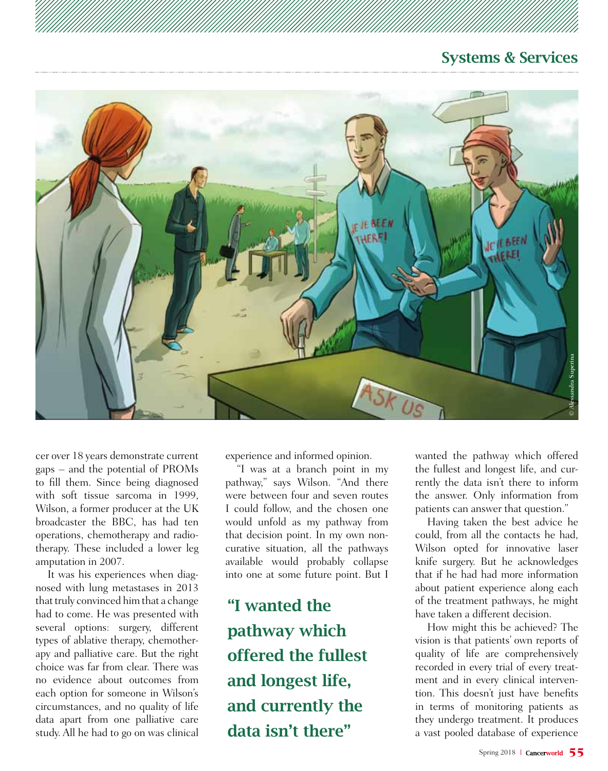# Systems & Services



cer over 18 years demonstrate current gaps – and the potential of PROMs to fill them. Since being diagnosed with soft tissue sarcoma in 1999, Wilson, a former producer at the UK broadcaster the BBC, has had ten operations, chemotherapy and radiotherapy. These included a lower leg amputation in 2007.

It was his experiences when diagnosed with lung metastases in 2013 that truly convinced him that a change had to come. He was presented with several options: surgery, different types of ablative therapy, chemotherapy and palliative care. But the right choice was far from clear. There was no evidence about outcomes from each option for someone in Wilson's circumstances, and no quality of life data apart from one palliative care study. All he had to go on was clinical

experience and informed opinion.

"I was at a branch point in my pathway," says Wilson. "And there were between four and seven routes I could follow, and the chosen one would unfold as my pathway from that decision point. In my own noncurative situation, all the pathways available would probably collapse into one at some future point. But I

"I wanted the pathway which offered the fullest and longest life, and currently the data isn't there"

wanted the pathway which offered the fullest and longest life, and currently the data isn't there to inform the answer. Only information from patients can answer that question."

Having taken the best advice he could, from all the contacts he had, Wilson opted for innovative laser knife surgery. But he acknowledges that if he had had more information about patient experience along each of the treatment pathways, he might have taken a different decision.

athway which offered<br>a longest life, and cur-<br>a isn't there to inform<br>Dnly information from<br>swer that question."<br>en the best advice he<br>al the contacts he had,<br>for innovative laser<br>But he acknowledges<br>had more information<br>e How might this be achieved? The vision is that patients' own reports of quality of life are comprehensively recorded in every trial of every treatment and in every clinical intervention. This doesn't just have benefits in terms of monitoring patients as they undergo treatment. It produces a vast pooled database of experience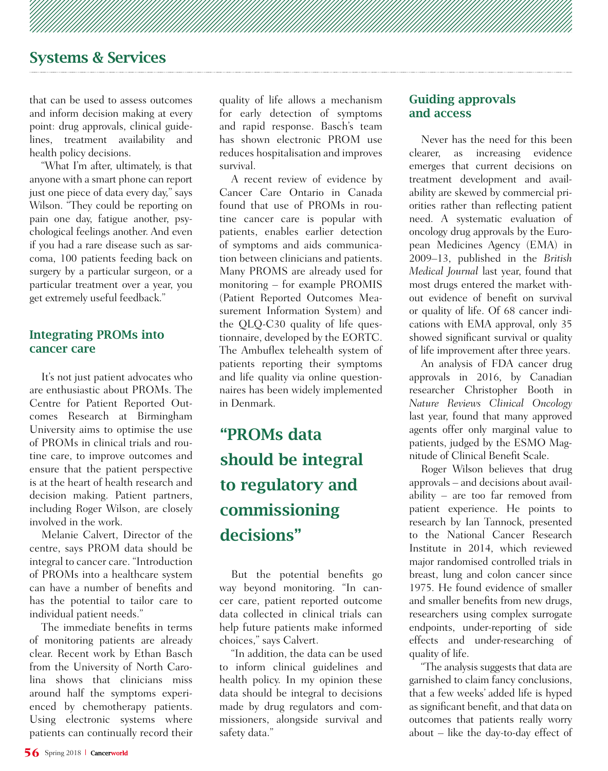# Systems & Services

that can be used to assess outcomes and inform decision making at every point: drug approvals, clinical guidelines, treatment availability and health policy decisions.

"What I'm after, ultimately, is that anyone with a smart phone can report just one piece of data every day," says Wilson. "They could be reporting on pain one day, fatigue another, psychological feelings another. And even if you had a rare disease such as sarcoma, 100 patients feeding back on surgery by a particular surgeon, or a particular treatment over a year, you get extremely useful feedback."

#### Integrating PROMs into cancer care

It's not just patient advocates who are enthusiastic about PROMs. The Centre for Patient Reported Outcomes Research at Birmingham University aims to optimise the use of PROMs in clinical trials and routine care, to improve outcomes and ensure that the patient perspective is at the heart of health research and decision making. Patient partners, including Roger Wilson, are closely involved in the work.

Melanie Calvert, Director of the centre, says PROM data should be integral to cancer care. "Introduction of PROMs into a healthcare system can have a number of benefits and has the potential to tailor care to individual patient needs."

The immediate benefits in terms of monitoring patients are already clear. Recent work by Ethan Basch from the University of North Carolina shows that clinicians miss around half the symptoms experienced by chemotherapy patients. Using electronic systems where patients can continually record their quality of life allows a mechanism for early detection of symptoms and rapid response. Basch's team has shown electronic PROM use reduces hospitalisation and improves survival.

A recent review of evidence by Cancer Care Ontario in Canada found that use of PROMs in routine cancer care is popular with patients, enables earlier detection of symptoms and aids communication between clinicians and patients. Many PROMS are already used for monitoring – for example PROMIS (Patient Reported Outcomes Measurement Information System) and the QLQ-C30 quality of life questionnaire, developed by the EORTC. The Ambuflex telehealth system of patients reporting their symptoms and life quality via online questionnaires has been widely implemented in Denmark.

# "PROMs data should be integral to regulatory and commissioning decisions"

But the potential benefits go way beyond monitoring. "In cancer care, patient reported outcome data collected in clinical trials can help future patients make informed choices," says Calvert.

"In addition, the data can be used to inform clinical guidelines and health policy. In my opinion these data should be integral to decisions made by drug regulators and commissioners, alongside survival and safety data."

#### Guiding approvals and access

Never has the need for this been clearer, as increasing evidence emerges that current decisions on treatment development and availability are skewed by commercial priorities rather than reflecting patient need. A systematic evaluation of oncology drug approvals by the European Medicines Agency (EMA) in 2009–13, published in the *British Medical Journal* last year, found that most drugs entered the market without evidence of benefit on survival or quality of life. Of 68 cancer indications with EMA approval, only 35 showed significant survival or quality of life improvement after three years.

An analysis of FDA cancer drug approvals in 2016, by Canadian researcher Christopher Booth in *Nature Reviews Clinical Oncology*  last year, found that many approved agents offer only marginal value to patients, judged by the ESMO Magnitude of Clinical Benefit Scale.

Roger Wilson believes that drug approvals – and decisions about availability – are too far removed from patient experience. He points to research by Ian Tannock, presented to the National Cancer Research Institute in 2014, which reviewed major randomised controlled trials in breast, lung and colon cancer since 1975. He found evidence of smaller and smaller benefits from new drugs, researchers using complex surrogate endpoints, under-reporting of side effects and under-researching of quality of life.

"The analysis suggests that data are garnished to claim fancy conclusions, that a few weeks' added life is hyped as significant benefit, and that data on outcomes that patients really worry about – like the day-to-day effect of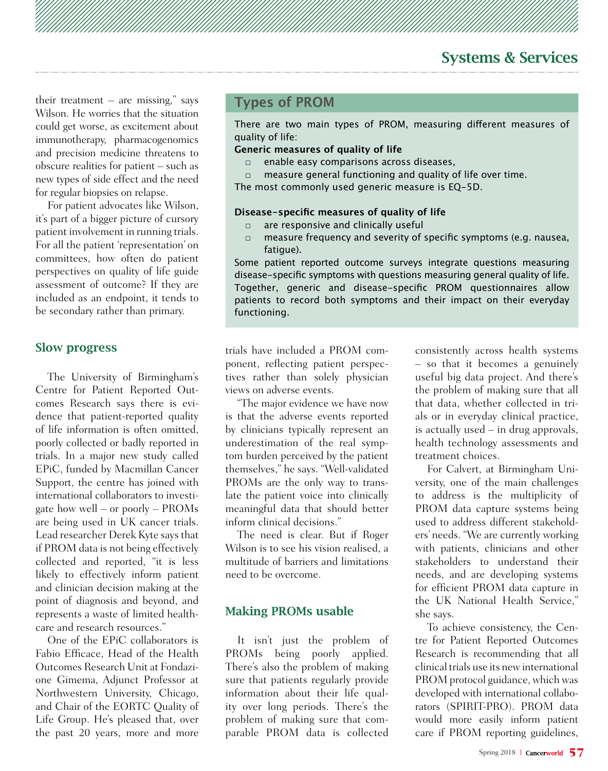their treatment – are missing," says Wilson. He worries that the situation could get worse, as excitement about immunotherapy, pharmacogenomics and precision medicine threatens to obscure realities for patient – such as new types of side effect and the need for regular biopsies on relapse.

For patient advocates like Wilson, it's part of a bigger picture of cursory patient involvement in running trials. For all the patient 'representation' on committees, how often do patient perspectives on quality of life guide assessment of outcome? If they are included as an endpoint, it tends to be secondary rather than primary.

#### Slow progress

The University of Birmingham's Centre for Patient Reported Outcomes Research says there is evidence that patient-reported quality of life information is often omitted, poorly collected or badly reported in trials. In a major new study called EPiC, funded by Macmillan Cancer Support, the centre has joined with international collaborators to investigate how well – or poorly – PROMs are being used in UK cancer trials. Lead researcher Derek Kyte says that if PROM data is not being effectively collected and reported, "it is less likely to effectively inform patient and clinician decision making at the point of diagnosis and beyond, and represents a waste of limited healthcare and research resources."

One of the EPiC collaborators is Fabio Efficace, Head of the Health Outcomes Research Unit at Fondazione Gimema, Adjunct Professor at Northwestern University, Chicago, and Chair of the EORTC Quality of Life Group. He's pleased that, over the past 20 years, more and more

## **Types of PROM**

There are two main types of PROM, measuring diferent measures of quality of life:

#### **Generic measures of quality of life**

- □ enable easy comparisons across diseases,
- □ measure general functioning and quality of life over time.

The most commonly used generic measure is EQ-5D.

#### **Disease-specifc measures of quality of life**

- □ are responsive and clinically useful
- □ measure frequency and severity of specific symptoms (e.g. nausea, fatique).

Some patient reported outcome surveys integrate questions measuring disease-specifc symptoms with questions measuring general quality of life. Together, generic and disease-specifc PROM questionnaires allow patients to record both symptoms and their impact on their everyday functioning.

trials have included a PROM component, reflecting patient perspectives rather than solely physician views on adverse events.

"The major evidence we have now is that the adverse events reported by clinicians typically represent an underestimation of the real symptom burden perceived by the patient themselves," he says. "Well-validated PROMs are the only way to translate the patient voice into clinically meaningful data that should better inform clinical decisions."

The need is clear. But if Roger Wilson is to see his vision realised, a multitude of barriers and limitations need to be overcome.

#### Making PROMs usable

It isn't just the problem of PROMs being poorly applied. There's also the problem of making sure that patients regularly provide information about their life quality over long periods. There's the problem of making sure that comparable PROM data is collected consistently across health systems – so that it becomes a genuinely useful big data project. And there's the problem of making sure that all that data, whether collected in trials or in everyday clinical practice, is actually used – in drug approvals, health technology assessments and treatment choices.

For Calvert, at Birmingham University, one of the main challenges to address is the multiplicity of PROM data capture systems being used to address different stakeholders' needs. "We are currently working with patients, clinicians and other stakeholders to understand their needs, and are developing systems for efficient PROM data capture in the UK National Health Service," she says.

To achieve consistency, the Centre for Patient Reported Outcomes Research is recommending that all clinical trials use its new international PROM protocol guidance, which was developed with international collaborators (SPIRIT-PRO). PROM data would more easily inform patient care if PROM reporting guidelines,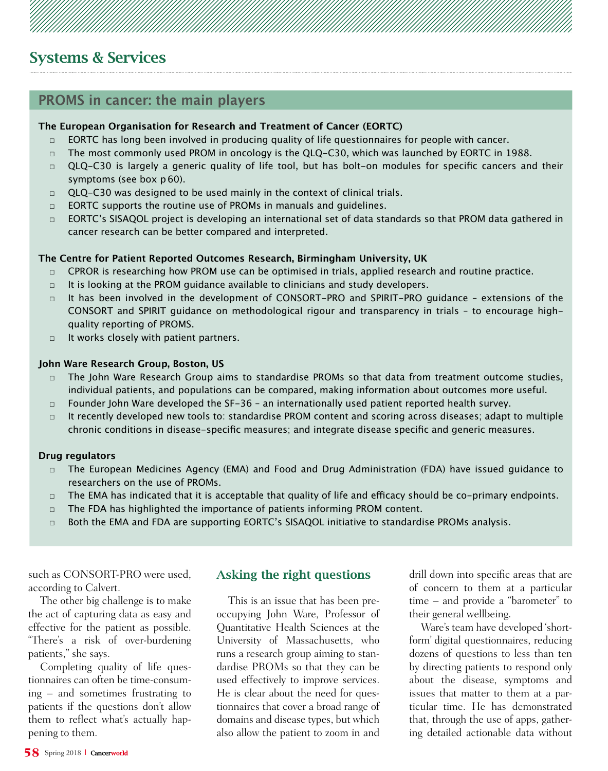# **PROMS in cancer: the main players**

#### **The European Organisation for Research and Treatment of Cancer (EORTC)**

- $\Box$  EORTC has long been involved in producing quality of life questionnaires for people with cancer.
- $\Box$  The most commonly used PROM in oncology is the QLQ-C30, which was launched by EORTC in 1988.
- $\Box$  QLQ-C30 is largely a generic quality of life tool, but has bolt-on modules for specific cancers and their symptoms (see box p 60).
- $\Box$  QLQ-C30 was designed to be used mainly in the context of clinical trials.
- □ EORTC supports the routine use of PROMs in manuals and guidelines.
- □ EORTC's SISAQOL project is developing an international set of data standards so that PROM data gathered in cancer research can be better compared and interpreted.

#### **The Centre for Patient Reported Outcomes Research, Birmingham University, UK**

- $\Box$  CPROR is researching how PROM use can be optimised in trials, applied research and routine practice.
- $\Box$  It is looking at the PROM guidance available to clinicians and study developers.
- $\Box$  It has been involved in the development of CONSORT-PRO and SPIRIT-PRO quidance extensions of the CONSORT and SPIRIT guidance on methodological rigour and transparency in trials – to encourage highquality reporting of PROMS.
- □ It works closely with patient partners.

#### **John Ware Research Group, Boston, US**

- □ The John Ware Research Group aims to standardise PROMs so that data from treatment outcome studies, individual patients, and populations can be compared, making information about outcomes more useful.
- □ Founder John Ware developed the SF-36 an internationally used patient reported health survey.
- $\Box$  It recently developed new tools to: standardise PROM content and scoring across diseases; adapt to multiple chronic conditions in disease-specifc measures; and integrate disease specifc and generic measures.

#### **Drug regulators**

- □ The European Medicines Agency (EMA) and Food and Drug Administration (FDA) have issued guidance to researchers on the use of PROMs.
- $\Box$  The EMA has indicated that it is acceptable that quality of life and efficacy should be co-primary endpoints.
- □ The FDA has highlighted the importance of patients informing PROM content.
- $\Box$  Both the EMA and FDA are supporting EORTC's SISAQOL initiative to standardise PROMs analysis.

such as CONSORT-PRO were used, according to Calvert.

The other big challenge is to make the act of capturing data as easy and effective for the patient as possible. "There's a risk of over-burdening patients," she says.

Completing quality of life questionnaires can often be time-consuming – and sometimes frustrating to patients if the questions don't allow them to reflect what's actually happening to them.

#### Asking the right questions

This is an issue that has been preoccupying John Ware, Professor of Quantitative Health Sciences at the University of Massachusetts, who runs a research group aiming to standardise PROMs so that they can be used effectively to improve services. He is clear about the need for questionnaires that cover a broad range of domains and disease types, but which also allow the patient to zoom in and drill down into specific areas that are of concern to them at a particular time – and provide a "barometer" to their general wellbeing.

Ware's team have developed 'shortform' digital questionnaires, reducing dozens of questions to less than ten by directing patients to respond only about the disease, symptoms and issues that matter to them at a particular time. He has demonstrated that, through the use of apps, gathering detailed actionable data without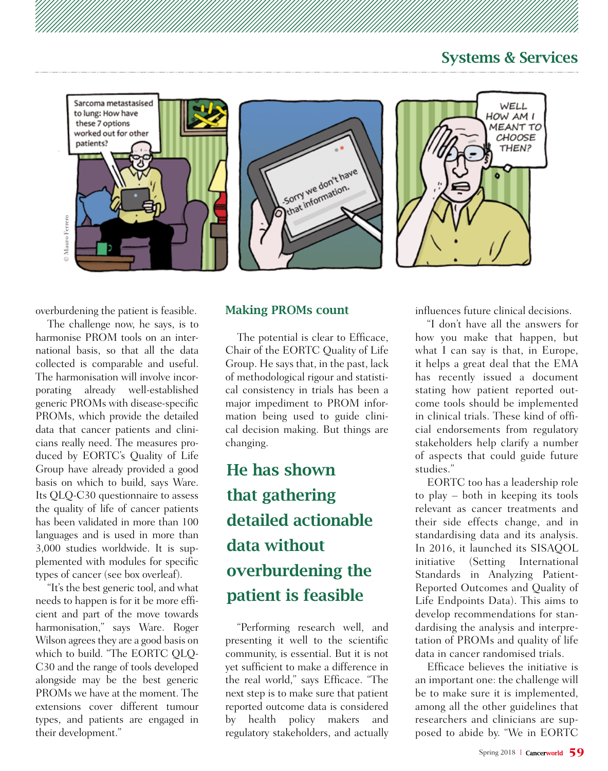## Systems & Services



overburdening the patient is feasible.

The challenge now, he says, is to harmonise PROM tools on an international basis, so that all the data collected is comparable and useful. The harmonisation will involve incorporating already well-established generic PROMs with disease-specific PROMs, which provide the detailed data that cancer patients and clinicians really need. The measures produced by EORTC's Quality of Life Group have already provided a good basis on which to build, says Ware. Its QLQ-C30 questionnaire to assess the quality of life of cancer patients has been validated in more than 100 languages and is used in more than 3,000 studies worldwide. It is supplemented with modules for specific types of cancer (see box overleaf).

"It's the best generic tool, and what needs to happen is for it be more efficient and part of the move towards harmonisation," says Ware. Roger Wilson agrees they are a good basis on which to build. "The EORTC QLQ-C30 and the range of tools developed alongside may be the best generic PROMs we have at the moment. The extensions cover different tumour types, and patients are engaged in their development."

#### Making PROMs count

The potential is clear to Efficace, Chair of the EORTC Quality of Life Group. He says that, in the past, lack of methodological rigour and statistical consistency in trials has been a major impediment to PROM information being used to guide clinical decision making. But things are changing.

# He has shown that gathering detailed actionable data without overburdening the patient is feasible

"Performing research well, and presenting it well to the scientific community, is essential. But it is not yet sufficient to make a difference in the real world," says Efficace. "The next step is to make sure that patient reported outcome data is considered by health policy makers and regulatory stakeholders, and actually influences future clinical decisions.

"I don't have all the answers for how you make that happen, but what I can say is that, in Europe, it helps a great deal that the EMA has recently issued a document stating how patient reported outcome tools should be implemented in clinical trials. These kind of official endorsements from regulatory stakeholders help clarify a number of aspects that could guide future studies."

EORTC too has a leadership role to play – both in keeping its tools relevant as cancer treatments and their side effects change, and in standardising data and its analysis. In 2016, it launched its SISAQOL initiative (Setting International Standards in Analyzing Patient-Reported Outcomes and Quality of Life Endpoints Data). This aims to develop recommendations for standardising the analysis and interpretation of PROMs and quality of life data in cancer randomised trials.

Efficace believes the initiative is an important one: the challenge will be to make sure it is implemented, among all the other guidelines that researchers and clinicians are supposed to abide by. "We in EORTC